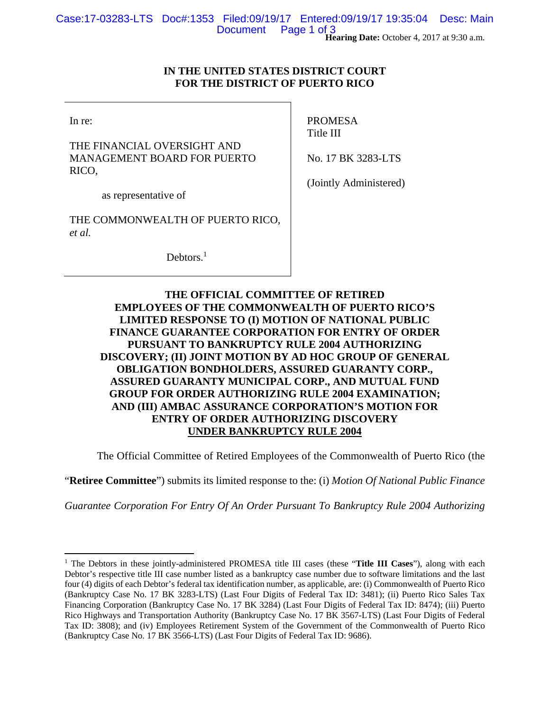## **IN THE UNITED STATES DISTRICT COURT FOR THE DISTRICT OF PUERTO RICO**

In re:

 $\overline{a}$ 

THE FINANCIAL OVERSIGHT AND MANAGEMENT BOARD FOR PUERTO RICO,

PROMESA Title III

No. 17 BK 3283-LTS

as representative of

THE COMMONWEALTH OF PUERTO RICO, *et al.*

Debtors.<sup>1</sup>

(Jointly Administered)

# **THE OFFICIAL COMMITTEE OF RETIRED EMPLOYEES OF THE COMMONWEALTH OF PUERTO RICO'S LIMITED RESPONSE TO (I) MOTION OF NATIONAL PUBLIC FINANCE GUARANTEE CORPORATION FOR ENTRY OF ORDER PURSUANT TO BANKRUPTCY RULE 2004 AUTHORIZING DISCOVERY; (II) JOINT MOTION BY AD HOC GROUP OF GENERAL OBLIGATION BONDHOLDERS, ASSURED GUARANTY CORP., ASSURED GUARANTY MUNICIPAL CORP., AND MUTUAL FUND GROUP FOR ORDER AUTHORIZING RULE 2004 EXAMINATION; AND (III) AMBAC ASSURANCE CORPORATION'S MOTION FOR ENTRY OF ORDER AUTHORIZING DISCOVERY UNDER BANKRUPTCY RULE 2004**

The Official Committee of Retired Employees of the Commonwealth of Puerto Rico (the

"**Retiree Committee**") submits its limited response to the: (i) *Motion Of National Public Finance* 

*Guarantee Corporation For Entry Of An Order Pursuant To Bankruptcy Rule 2004 Authorizing* 

<sup>&</sup>lt;sup>1</sup> The Debtors in these jointly-administered PROMESA title III cases (these "Title III Cases"), along with each Debtor's respective title III case number listed as a bankruptcy case number due to software limitations and the last four (4) digits of each Debtor's federal tax identification number, as applicable, are: (i) Commonwealth of Puerto Rico (Bankruptcy Case No. 17 BK 3283-LTS) (Last Four Digits of Federal Tax ID: 3481); (ii) Puerto Rico Sales Tax Financing Corporation (Bankruptcy Case No. 17 BK 3284) (Last Four Digits of Federal Tax ID: 8474); (iii) Puerto Rico Highways and Transportation Authority (Bankruptcy Case No. 17 BK 3567-LTS) (Last Four Digits of Federal Tax ID: 3808); and (iv) Employees Retirement System of the Government of the Commonwealth of Puerto Rico (Bankruptcy Case No. 17 BK 3566-LTS) (Last Four Digits of Federal Tax ID: 9686).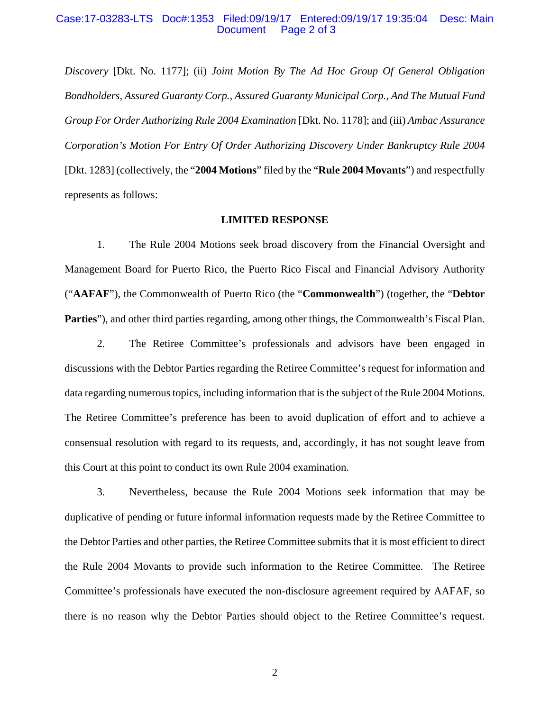#### Case:17-03283-LTS Doc#:1353 Filed:09/19/17 Entered:09/19/17 19:35:04 Desc: Main Page 2 of 3

*Discovery* [Dkt. No. 1177]; (ii) *Joint Motion By The Ad Hoc Group Of General Obligation Bondholders, Assured Guaranty Corp., Assured Guaranty Municipal Corp., And The Mutual Fund Group For Order Authorizing Rule 2004 Examination* [Dkt. No. 1178]; and (iii) *Ambac Assurance Corporation's Motion For Entry Of Order Authorizing Discovery Under Bankruptcy Rule 2004*  [Dkt. 1283] (collectively, the "**2004 Motions**" filed by the "**Rule 2004 Movants**") and respectfully represents as follows:

#### **LIMITED RESPONSE**

1. The Rule 2004 Motions seek broad discovery from the Financial Oversight and Management Board for Puerto Rico, the Puerto Rico Fiscal and Financial Advisory Authority ("**AAFAF**"), the Commonwealth of Puerto Rico (the "**Commonwealth**") (together, the "**Debtor Parties**"), and other third parties regarding, among other things, the Commonwealth's Fiscal Plan.

2. The Retiree Committee's professionals and advisors have been engaged in discussions with the Debtor Parties regarding the Retiree Committee's request for information and data regarding numerous topics, including information that is the subject of the Rule 2004 Motions. The Retiree Committee's preference has been to avoid duplication of effort and to achieve a consensual resolution with regard to its requests, and, accordingly, it has not sought leave from this Court at this point to conduct its own Rule 2004 examination.

3. Nevertheless, because the Rule 2004 Motions seek information that may be duplicative of pending or future informal information requests made by the Retiree Committee to the Debtor Parties and other parties, the Retiree Committee submits that it is most efficient to direct the Rule 2004 Movants to provide such information to the Retiree Committee. The Retiree Committee's professionals have executed the non-disclosure agreement required by AAFAF, so there is no reason why the Debtor Parties should object to the Retiree Committee's request.

2